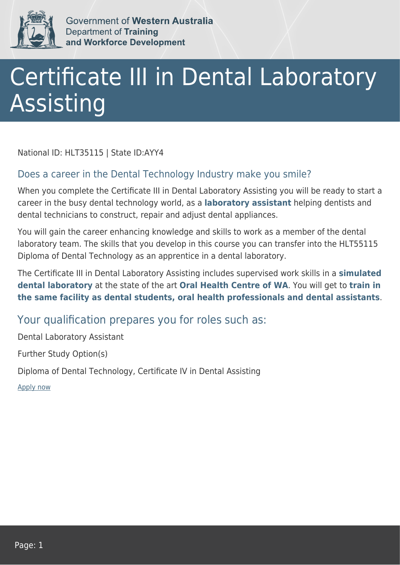

Government of Western Australia Department of Training and Workforce Development

## Certificate III in Dental Laboratory **Assisting**

National ID: HLT35115 | State ID:AYY4

## Does a career in the Dental Technology Industry make you smile?

When you complete the Certificate III in Dental Laboratory Assisting you will be ready to start a career in the busy dental technology world, as a **laboratory assistant** helping dentists and dental technicians to construct, repair and adjust dental appliances.

You will gain the career enhancing knowledge and skills to work as a member of the dental laboratory team. The skills that you develop in this course you can transfer into the HLT55115 Diploma of Dental Technology as an apprentice in a dental laboratory.

The Certificate III in Dental Laboratory Assisting includes supervised work skills in a **simulated dental laboratory** at the state of the art **Oral Health Centre of WA**. You will get to **train in the same facility as dental students, oral health professionals and dental assistants**.

## Your qualification prepares you for roles such as:

Dental Laboratory Assistant

Further Study Option(s)

Diploma of Dental Technology, Certificate IV in Dental Assisting

[Apply now](https://tasonline.tafe.wa.edu.au/Default.aspx)